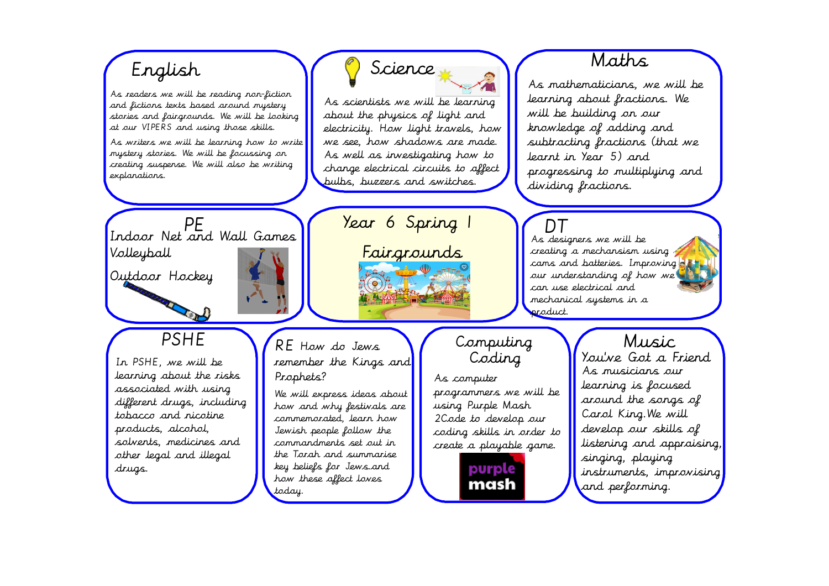## Maths. Science English As mathematicians, we will be As readers we will be reading non-liction learning about fractions. We As scientists we will be learning and fictions texts based around mystery will be building on our about the physics of light and stories and fairgrounds. We will be looking knowledge of adding and at our VIPERS and using those skills. electricity. How light travels, how subtracting fractions (that we we see. how shadows are made. As writers we will be learning how to write mystery stories. We will be focussing on As well as investigating how to learnt in Year 5) and creating suspense. We will also be writing change electrical circuits to affect progressing to multiplying and explanations. pulbs, buzzers and switches. dividing fractions. Year 6 Spring 1 PE<br>Indoor Net and Wall Games  $\Gamma$ As designers we will be Fairgrounds Volleyball creating a mechansism using cams and batteries. Improving 3.1 Outdoor Hockey our understanding of how we can use electrical and mechanical systems in a product. **PSHE** Music Computing RE How do Jews Coding You've Got a Friend In PSHE, we will be remember the Kings and As musicians our learning about the risks Prophets? As computer learning is focused associated with using programmers we will be We will express ideas about around the songs of different drugs, including using Purple Mash how and why festivals are Carol King. We will tobacco and nicotine 2 Code to develop our commemorated, learn how products, alcohol, develop our skills of Jewish people follow the coding skills in order to solvents, medicines and commandments set out in listening and appraising, create a playable game. other legal and illegal the Torah and summarise singing, playing key beliefs for Jews.and purple drugs. instruments, improvising how these affect loves mash and performing. today.